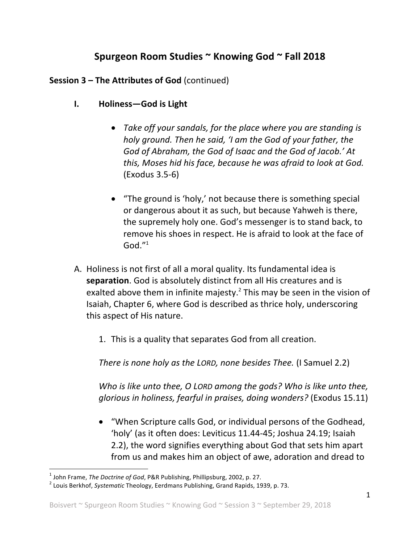## Spurgeon Room Studies ~ Knowing God ~ Fall 2018

## **Session 3 – The Attributes of God** (continued)

- **I. Holiness**—God is Light
	- Take off your sandals, for the place where you are standing is *holy ground.* Then he said, 'I am the God of your father, the God of Abraham, the God of Isaac and the God of Jacob.' At *this, Moses hid his face, because he was afraid to look at God.*  $(Exodus 3.5-6)$
	- "The ground is 'holy,' not because there is something special or dangerous about it as such, but because Yahweh is there, the supremely holy one. God's messenger is to stand back, to remove his shoes in respect. He is afraid to look at the face of  $God."$ <sup>1</sup>
- A. Holiness is not first of all a moral quality. Its fundamental idea is **separation**. God is absolutely distinct from all His creatures and is exalted above them in infinite majesty.<sup>2</sup> This may be seen in the vision of Isaiah, Chapter 6, where God is described as thrice holy, underscoring this aspect of His nature.
	- 1. This is a quality that separates God from all creation.

*There is none holy as the LORD, none besides Thee.* (I Samuel 2.2)

*Who is like unto thee, O LORD among the gods? Who is like unto thee, glorious in holiness, fearful in praises, doing wonders?* (Exodus 15.11)

• "When Scripture calls God, or individual persons of the Godhead, 'holy' (as it often does: Leviticus 11.44-45; Joshua 24.19; Isaiah 2.2), the word signifies everything about God that sets him apart from us and makes him an object of awe, adoration and dread to

<sup>&</sup>lt;sup>1</sup> John Frame, *The Doctrine of God*, P&R Publishing, Phillipsburg, 2002, p. 27.<br><sup>2</sup> Louis Berkhof, *Systematic* Theology, Eerdmans Publishing, Grand Rapids, 1939, p. 73.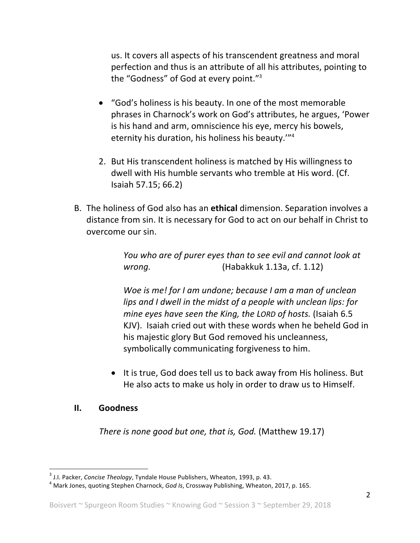us. It covers all aspects of his transcendent greatness and moral perfection and thus is an attribute of all his attributes, pointing to the "Godness" of God at every point."<sup>3</sup>

- "God's holiness is his beauty. In one of the most memorable phrases in Charnock's work on God's attributes, he argues, 'Power is his hand and arm, omniscience his eye, mercy his bowels, eternity his duration, his holiness his beauty."<sup>4</sup>
- 2. But His transcendent holiness is matched by His willingness to dwell with His humble servants who tremble at His word. (Cf. Isaiah 57.15; 66.2)
- B. The holiness of God also has an **ethical** dimension. Separation involves a distance from sin. It is necessary for God to act on our behalf in Christ to overcome our sin.

*You* who are of purer eyes than to see evil and cannot look at *wrong.* (Habakkuk 1.13a, cf. 1.12)

*Woe is me!* for *I* am undone; because I am a man of unclean *lips* and I dwell in the midst of a people with unclean lips: for *mine eyes have seen the King, the LORD of hosts.* (Isaiah 6.5) KJV). Isaiah cried out with these words when he beheld God in his majestic glory But God removed his uncleanness, symbolically communicating forgiveness to him.

• It is true, God does tell us to back away from His holiness. But He also acts to make us holy in order to draw us to Himself.

## **II. Goodness**

*There is none good but one, that is, God.* (Matthew 19.17)

<sup>&</sup>lt;sup>3</sup> J.I. Packer, *Concise Theology*, Tyndale House Publishers, Wheaton, 1993, p. 43.<br><sup>4</sup> Mark Jones, quoting Stephen Charnock, *God Is*, Crossway Publishing, Wheaton, 2017, p. 165.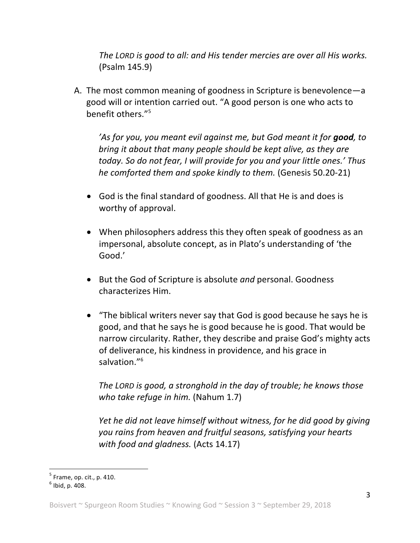*The LORD* is good to all: and His tender mercies are over all His works. (Psalm 145.9)

A. The most common meaning of goodness in Scripture is benevolence—a good will or intention carried out. "A good person is one who acts to benefit others."<sup>5</sup>

*'As for you, you meant evil against me, but God meant it for good, to bring* it about that many people should be kept alive, as they are *today.* So do not fear, I will provide for you and your little ones.' Thus *he comforted them and spoke kindly to them.* (Genesis 50.20-21)

- God is the final standard of goodness. All that He is and does is worthy of approval.
- When philosophers address this they often speak of goodness as an impersonal, absolute concept, as in Plato's understanding of 'the Good.'
- But the God of Scripture is absolute *and* personal. Goodness characterizes Him.
- "The biblical writers never say that God is good because he says he is good, and that he says he is good because he is good. That would be narrow circularity. Rather, they describe and praise God's mighty acts of deliverance, his kindness in providence, and his grace in salvation."<sup>6</sup>

The LORD is good, a stronghold in the day of trouble; he knows those *who take refuge in him.* (Nahum 1.7)

*Yet he did not leave himself without witness, for he did good by giving* you rains from heaven and fruitful seasons, satisfying your hearts with food and gladness. (Acts 14.17)

 $^5$  Frame, op. cit., p. 410.<br> $^6$  Ibid. p. 408.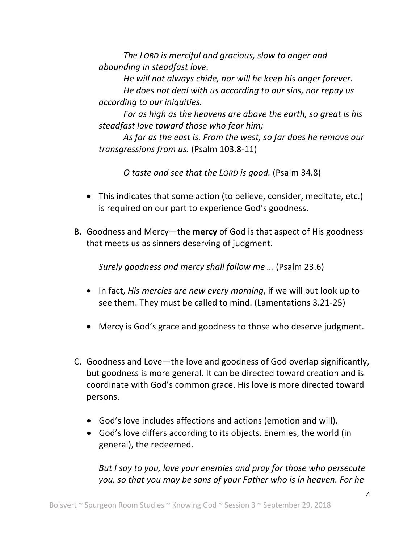*The LORD is merciful and gracious, slow to anger and abounding in steadfast love.* 

*He* will not always chide, nor will he keep his anger forever.

*He does not deal with us according to our sins, nor repay us according to our iniquities.* 

For as high as the heavens are above the earth, so great is his steadfast love toward those who fear him;

As far as the east is. From the west, so far does he remove our *transgressions from us.* (Psalm 103.8-11)

*O* taste and see that the LORD is good. (Psalm 34.8)

- This indicates that some action (to believe, consider, meditate, etc.) is required on our part to experience God's goodness.
- B. Goodness and Mercy—the **mercy** of God is that aspect of His goodness that meets us as sinners deserving of judgment.

*Surely goodness and mercy shall follow me ...* (Psalm 23.6)

- In fact, *His mercies are new every morning*, if we will but look up to see them. They must be called to mind. (Lamentations 3.21-25)
- Mercy is God's grace and goodness to those who deserve judgment.
- C. Goodness and Love—the love and goodness of God overlap significantly, but goodness is more general. It can be directed toward creation and is coordinate with God's common grace. His love is more directed toward persons.
	- God's love includes affections and actions (emotion and will).
	- God's love differs according to its objects. Enemies, the world (in general), the redeemed.

*But I say to you, love your enemies and pray for those who persecute* you, so that you may be sons of your Father who is in heaven. For he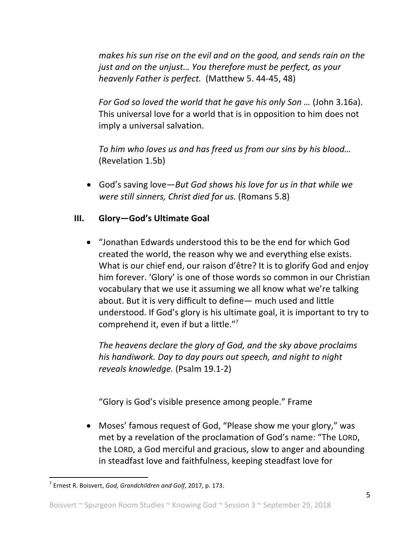*makes his sun rise on the evil and on the good, and sends rain on the just and on the unjust... You therefore must be perfect, as your heavenly Father is perfect.* (Matthew 5. 44-45, 48)

*For God so loved the world that he gave his only Son ...* (John 3.16a). This universal love for a world that is in opposition to him does not imply a universal salvation.

To him who loves us and has freed us from our sins by his blood... (Revelation 1.5b)

• God's saving love—*But God shows his love for us in that while we were still sinners, Christ died for us.* (Romans 5.8)

## **III.** Glory-God's Ultimate Goal

• "Jonathan Edwards understood this to be the end for which God created the world, the reason why we and everything else exists. What is our chief end, our raison d'être? It is to glorify God and enjoy him forever. 'Glory' is one of those words so common in our Christian vocabulary that we use it assuming we all know what we're talking about. But it is very difficult to define— much used and little understood. If God's glory is his ultimate goal, it is important to try to comprehend it, even if but a little." $\frac{1}{2}$ 

The heavens declare the glory of God, and the sky above proclaims his handiwork. Day to day pours out speech, and night to night *reveals knowledge.* (Psalm 19.1-2)

"Glory is God's visible presence among people." Frame

• Moses' famous request of God, "Please show me your glory," was met by a revelation of the proclamation of God's name: "The LORD, the LORD, a God merciful and gracious, slow to anger and abounding in steadfast love and faithfulness, keeping steadfast love for

 $<sup>7</sup>$  Ernest R. Boisvert, God, Grandchildren and Golf, 2017, p. 173.</sup>